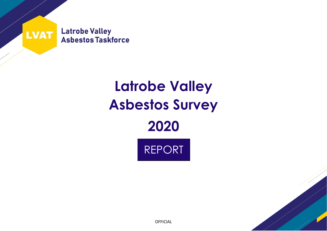

# **Latrobe Valley Asbestos Survey 2020**





OFFICIAL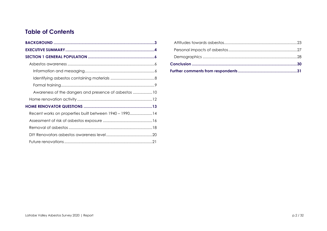# **Table of Contents**

| Awareness of the dangers and presence of asbestos 10   |  |
|--------------------------------------------------------|--|
|                                                        |  |
|                                                        |  |
| Recent works on properties built between 1940 – 199014 |  |
|                                                        |  |
|                                                        |  |
|                                                        |  |
|                                                        |  |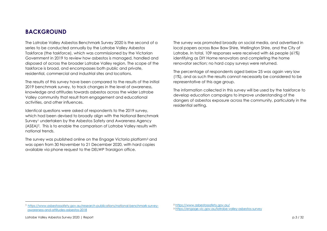# <span id="page-2-0"></span>**BACKGROUND**

The Latrobe Valley Asbestos Benchmark Survey 2020 is the second of a series to be conducted annually by the Latrobe Valley Asbestos Taskforce (the taskforce), which was commissioned by the Victorian Government in 2019 to review how asbestos is managed, handled and disposed of across the broader Latrobe Valley region. The scope of the taskforce is broad, and encompasses both public and private, residential, commercial and industrial sites and locations.

The results of this survey have been compared to the results of the initial 2019 benchmark survey, to track changes in the level of awareness, knowledge and attitudes towards asbestos across the wider Latrobe Valley community that result from engagement and educational activities, and other influences.

Identical questions were asked of respondents to the 2019 survey, which had been devised to broadly align with the National Benchmark Survey<sup>1</sup> undertaken by the Asbestos Safety and Awareness Agency (ASEA) <sup>2</sup>. This is to enable the comparison of Latrobe Valley results with national trends.

The survey was published online on the Engage Victoria platform<sup>3</sup> and was open from 30 November to 21 December 2020, with hard copies available via phone request to the DELWP Traralgon office.

The survey was promoted broadly on social media, and advertised in local papers across Baw Baw Shire, Wellington Shire, and the City of Latrobe. In total, 109 responses were received with 66 people (61%) identifying as DIY Home renovators and completing the home renovator section; no hard copy surveys were returned.

The percentage of respondents aged below 25 was again very low (1%), and as such the results cannot necessarily be considered to be representative of this age group.

The information collected in this survey will be used by the taskforce to develop education campaigns to improve understanding of the dangers of asbestos exposure across the community, particularly in the residential setting.

<sup>1</sup> [https://www.asbestossafety.gov.au/research-publications/national-benchmark-survey](https://www.asbestossafety.gov.au/research-publications/national-benchmark-survey-awareness-and-attitudes-asbestos-2018)[awareness-and-attitudes-asbestos-2018](https://www.asbestossafety.gov.au/research-publications/national-benchmark-survey-awareness-and-attitudes-asbestos-2018)

<sup>2</sup> <https://www.asbestossafety.gov.au/>

<sup>3</sup> <https://engage.vic.gov.au/latrobe-valley-asbestos-survey>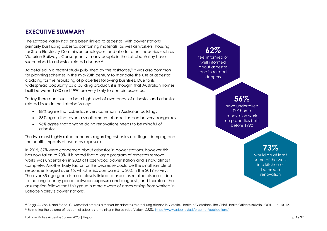# <span id="page-3-0"></span>**EXECUTIVE SUMMARY**

The Latrobe Valley has long been linked to asbestos, with power stations primarily built using asbestos containing materials, as well as workers' housing for State Electricity Commission employees, and also for other industries such as Victorian Railways. Consequently, many people in the Latrobe Valley have succumbed to asbestos related disease.<sup>4</sup>

As detailed in a recent study published by the taskforce,<sup>5</sup> it was also common for planning schemes in the mid-20th century to mandate the use of asbestos cladding for the rebuilding of properties following bushfires. Due to its widespread popularity as a building product, it is thought that Australian homes built between 1940 and 1990 are very likely to contain asbestos.

Today there continues to be a high level of awareness of asbestos and asbestosrelated issues in the Latrobe Valley:

- 88% agree that asbestos is very common in Australian buildings
- 83% agree that even a small amount of asbestos can be very dangerous
- 96% agree that anyone doing renovations needs to be mindful of asbestos.

The two most highly rated concerns regarding asbestos are illegal dumping and the health impacts of asbestos exposure.

In 2019, 37% were concerned about asbestos in power stations, however this has now fallen to 20%. It is noted that a large program of asbestos removal works was undertaken in 2020 at Hazelwood power station and is now almost complete. Another likely factor for this decrease could be the small sample of respondents aged over 65, which is 6% compared to 20% in the 2019 survey. The over-65 age group is more closely linked to asbestos-related diseases, due to the long latency period between exposure and diagnosis, and therefore the assumption follows that this group is more aware of cases arising from workers in Latrobe Valley's power stations.



<sup>4</sup> Beaa. S., Vos. T. and Stone, C., Mesothelioma as a marker for asbestos-related lung disease in Victoria. Health of Victorians, The Chief Health Officer's Bulletin., 2001. 1: p. 10-12. <sup>5</sup> Estimating the volume of residential asbestos remaining in the Latrobe Valley, 2020. <https://www.asbestostaskforce.net/publications/>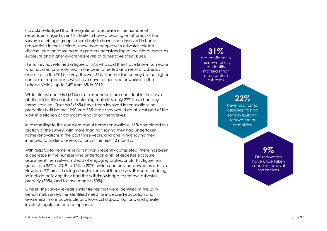It is acknowledged that the significant decrease in the number of respondents aged over 65 is likely to have a bearing on all areas of the survey, as this age group is more likely to have been involved in home renovations in their lifetime, know more people with asbestos-related disease, and therefore have a greater understanding of the risks of asbestos exposure and higher awareness levels of asbestos-related issues.

This survey has returned a figure of 37% who said they have known someone who has died or whose health has been affected as a result of asbestos exposure. In the 2019 survey, this was 65%. Another factor may be the higher number of respondents who have never either lived or worked in the Latrobe Valley; up to 14% from 6% in 2019.

While almost one third (31%) of all respondents are confident in their own ability to identify asbestos containing materials, only 22% have had any formal training. Over half (56%) have been involved in renovations on properties built before 1990 and 73% state they would do at least part of the work in a kitchen or bathroom renovation themselves.

In responding to the questions about home renovations, 61% completed this section of the survey, with more than half saying they had undertaken home renovations in the past three years, and one in five saying they intended to undertake renovations in the next 12 months.

With regards to home renovation works recently completed, there has been a decrease in the number who undertook a risk of asbestos exposure assessment themselves, instead of engaging professionals. This figure has gone from 36% in 2019 to 15% in 2020, which can only be viewed as positive. However, 9% are still doing asbestos removal themselves. Reasons for doing so include believing they had the skills/knowledge to remove asbestos properly (30%), and to save money (50%).

Overall, the survey reveals similar trends that were identified in the 2019 benchmark survey: the identified need for increased education and awareness, more accessible and low-cost disposal options, and greater levels of regulation and compliance.

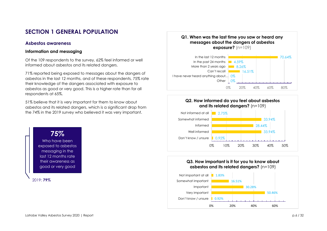# <span id="page-5-0"></span>**SECTION 1 GENERAL POPULATION**

## <span id="page-5-1"></span>**Asbestos awareness**

#### <span id="page-5-2"></span>**Information and messaging**

Of the 109 respondents to the survey, 62% feel informed or well informed about asbestos and its related dangers.

71% reported being exposed to messages about the dangers of asbestos in the last 12 months, and of these respondents, 75% rate their knowledge of the dangers associated with exposure to asbestos as good or very good. This is a higher rate than for all respondents at 65%.

51% believe that it is very important for them to know about asbestos and its related dangers, which is a significant drop from the 74% in the 2019 survey who believed it was very important.

## **75%** Who have been exposed to asbestos messaging in the last 12 months rate their awareness as good or very good

2019: **79%**





#### 0.92% 50.46% 30.28% 16.51% 1.83% Don't know / unsure Very important Important Somewhat important Not important at all **Q3. How important is it for you to know about asbestos and its related dangers?** (n=109)

0% 20% 40% 60%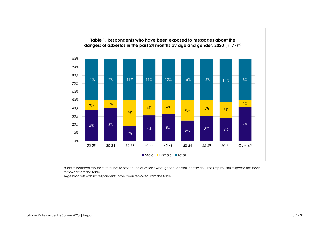

\*One respondent replied "Prefer not to say" to the question "What gender do you identify as?" For simplicy, this response has been removed from the table.

†Age brackets with no respondents have been removed from the table.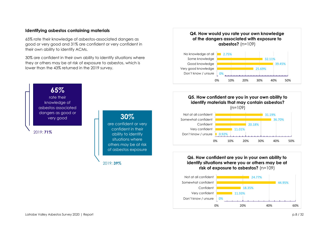#### <span id="page-7-0"></span>**Identifying asbestos containing materials**

**65%** rate their knowledge of asbestos associated dangers as good or very good

2019: **71%**

65% rate their knowledge of asbestos-associated dangers as good or very good and 31% are confident or very confident in their own ability to identify ACMs.

30% are confident in their own ability to identify situations where they or others may be at risk of exposure to asbestos, which is lower than the 43% returned in the 2019 survey.

> **30%** are confident or very confident in their ability to identify situations where others may be at risk of asbestos exposure

2019: **39%**

## **2.75%** No knowledge at all **Q4. How would you rate your own knowledge of the dangers associated with exposure to asbestos?** (n=109)





## **Q6. How confident are you in your own ability to identify situations where you or others may be at risk of exposure to asbestos?** (n=109)



# Latrobe Valley Asbestos Survey 2020 | Report contract p.8 / 32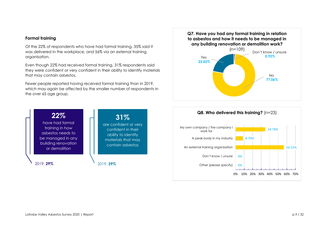#### <span id="page-8-0"></span>**Formal training**

Of the 22% of respondents who have had formal training, 35% said it was delivered in the workplace, and 56% via an external training organisation.

Even though 22% had received formal training, 31% respondents said they were confident or very confident in their ability to identify materials that may contain asbestos.

Fewer people reported having received formal training than in 2019, which may again be affected by the smaller number of respondents in the over 65 age group.





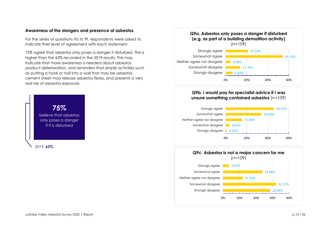#### <span id="page-9-0"></span>**Awareness of the dangers and presence of asbestos**

For the series of questions 9a to 9f, respondents were asked to indicate their level of agreement with each statement.

75% agree that asbestos only poses a danger if disturbed. This is higher than the 63% recorded in the 2019 results. This may indicate that more awareness is needed about asbestos product deterioration, and reminders that simple activities such as putting a hook or nail into a wall that may be asbestos cement sheet may release asbestos fibres, and presents a very real risk of asbestos exposure.



#### 6.42% 13.76% 4.59% 54.13% 21.10% 0% 20% 40% 60% Strongly disagree Somewhat disagree Neither agree nor disagree Somewhat agree Strongly agree **Q9a. Asbestos only poses a danger if disturbed (e.g. as part of a building demolition activity)**   $(n=109)$

#### **Q9b. I would pay for specialist advice if I was unsure something contained asbestos** (n=109)



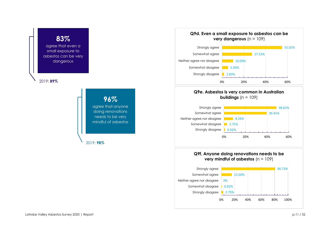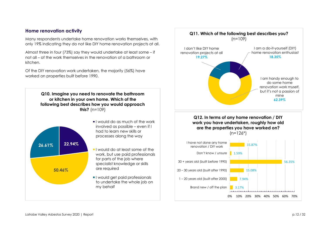## <span id="page-11-0"></span>**Home renovation activity**

Many respondents undertake home renovation works themselves, with only 19% indicating they do not like DIY home renovation projects at all.

Almost three in four (73%) say they would undertake at least some – if not all – of the work themselves in the renovation of a bathroom or kitchen.

Of the DIY renovation work undertaken, the majority (56%) have worked on properties built before 1990.



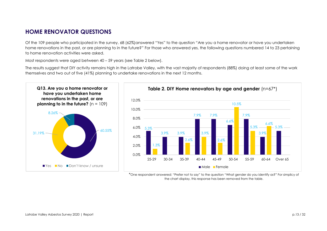# <span id="page-12-0"></span>**HOME RENOVATOR QUESTIONS**

Of the 109 people who participated in the survey, 68 (62%)answered "Yes" to the question "Are you a home renovator or have you undertaken home renovations in the past, or are planning to in the future?" For those who answered yes, the following questions numbered 14 to 23 pertaining to home renovation activities were asked.

Most respondents were aged between 40 – 59 years (see Table 2 below).

The results suggest that DIY activity remains high in the Latrobe Valley, with the vast majority of respondents (88%) doing at least some of the work themselves and two out of five (41%) planning to undertake renovations in the next 12 months.



\*One respondent answered: "Prefer not to say" to the question "What gender do you identify as?" For simplicy of the chart display, this response has been removed from the table.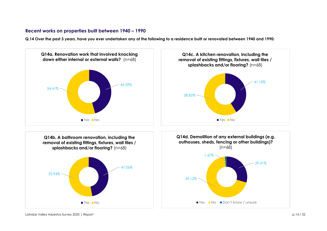## <span id="page-13-0"></span>**Recent works on properties built between 1940 – 1990**

**Q.14 Over the past 3 years, have you ever undertaken any of the following to a residence built or renovated between 1940 and 1990:**

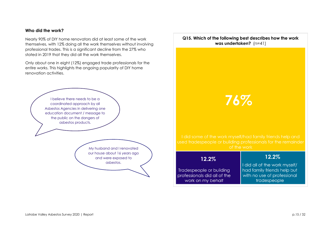#### **Who did the work?**

Nearly 90% of DIY home renovators did at least some of the work themselves, with 12% doing all the work themselves without involving professional trades. This is a significant decline from the 27% who stated in 2019 that they did all the work themselves.

Only about one in eight (12%) engaged trade professionals for the entire works. This highlights the ongoing popularity of DIY home renovation activities.



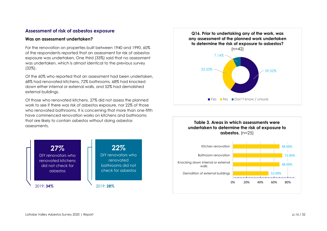## <span id="page-15-0"></span>**Assessment of risk of asbestos exposure**

#### **Was an assessment undertaken?**

For the renovation on properties built between 1940 and 1990, 60% of the respondents reported that an assessment for risk of asbestos exposure was undertaken. One third (33%) said that no assessment was undertaken, which is almost identical to the previous survey (32%).

Of the 60% who reported that an assessment had been undertaken, 68% had renovated kitchens, 72% bathrooms, 68% had knocked down either internal or external walls, and 52% had demolished external buildings.

Of those who renovated kitchens, 27% did not assess the planned work to see if there was risk of asbestos exposure, nor 22% of those who renovated bathrooms. It is concerning that more than one-fifth have commenced renovation works on kitchens and bathrooms that are likely to contain asbestos without doing asbestos assessments.





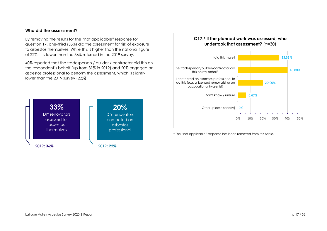#### **Who did the assessment?**

By removing the results for the "not applicable" response for question 17, one-third (33%) did the assessment for risk of exposure to asbestos themselves. While this is higher than the national figure of 22%, it is lower than the 36% returned in the 2019 survey.

40% reported that the tradesperson / builder / contractor did this on the respondent's behalf (up from 31% in 2019) and 20% engaged an asbestos professional to perform the assessment, which is slightly lower than the 2019 survey (22%).



## **Q17.\* If the planned work was assessed, who undertook that assessment?** (n=30)



\* The "not applicable" response has been removed from this table.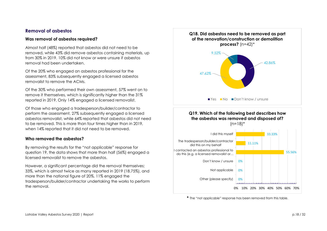## <span id="page-17-0"></span>**Removal of asbestos**

#### **Was removal of asbestos required?**

Almost half (48%) reported that asbestos did not need to be removed, while 43% did remove asbestos containing materials, up from 30% in 2019. 10% did not know or were unsure if asbestos removal had been undertaken.

Of the 20% who engaged an asbestos professional for the assessment, 83% subsequently engaged a licensed asbestos removalist to remove the ACMs.

Of the 30% who performed their own assessment, 57% went on to remove it themselves, which is significantly higher than the 31% reported in 2019. Only 14% engaged a licensed removalist.

Of those who engaged a tradesperson/builder/contractor to perform the assessment, 27% subsequently engaged a licensed asbestos removalist, while 64% reported that asbestos did not need to be removed. This is more than four times higher than in 2019, when 14% reported that it did not need to be removed.

#### **Who removed the asbestos?**

By removing the results for the "not applicable" response for question 19, the data shows that more than half (56%) engaged a licensed removalist to remove the asbestos.

However, a significant percentage did the removal themselves; 33%, which is almost twice as many reported in 2019 (18.75%), and more than the national figure of 20%. 11% engaged the tradesperson/builder/contractor undertaking the works to perform the removal.



## **Q19. Which of the following best describes how the asbestos was removed and disposed of?**



**\*** The "not applicable" response has been removed from this table.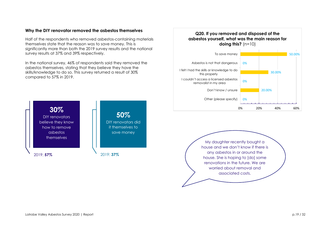#### **Why the DIY renovator removed the asbestos themselves**

Half of the respondents who removed asbestos-containing materials themselves state that the reason was to save money. This is significantly more than both the 2019 survey results and the national survey results at 37% and 39% respectively.

In the national survey, 46% of respondents said they removed the asbestos themselves, stating that they believe they have the skills/knowledge to do so. This survey returned a result of 30% compared to 57% in 2019.



#### 0% 20.00% 0% 30.00% 0% 50.00% 0% 20% 40% 60% Other (please specify) Don't know / unsure I couldn't access a licensed asbestos removalist in my area I felt I had the skills or knowledge to do this properly Asbestos is not that dangerous To save money **Q20. If you removed and disposed of the asbestos yourself, what was the main reason for doing this?** (n=10)

My daughter recently bought a house and we don't know if there is any asbestos in or around the house. She is hoping to [do] some renovations in the future. We are worried about removal and associated costs.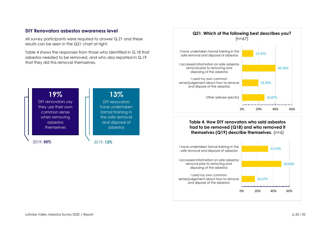## <span id="page-19-0"></span>**DIY Renovators asbestos awareness level**

All survey participants were required to answer Q.21 and these results can be seen in the Q21 chart at right.

Table 4 shows the responses from those who identified in Q.18 that asbestos needed to be removed, and who also reported in Q.19 that they did this removal themselves.





## **Table 4. How DIY renovators who said asbestos had to be removed (Q18) and who removed it themselves (Q19) describe themselves.** (n=6)

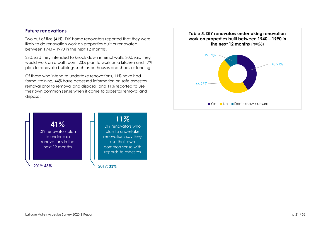## <span id="page-20-0"></span>**Future renovations**

Two out of five (41%) DIY home renovators reported that they were likely to do renovation work on properties built or renovated between 1940 – 1990 in the next 12 months.

23% said they intended to knock down internal walls; 30% said they would work on a bathroom, 23% plan to work on a kitchen and 17% plan to renovate buildings such as outhouses and sheds or fencing.

Of those who intend to undertake renovations, 11% have had formal training, 44% have accessed information on safe asbestos removal prior to removal and disposal, and 11% reported to use their own common sense when it came to asbestos removal and disposal.

2019: **43%** 2019: **33% 41%** DIY renovators plan to undertake renovations in the next 12 months **11%** DIY renovators who plan to undertake renovations say they use their own common sense with regards to asbestos

40.91% 46.97% 12.12% **Table 5. DIY renovators undertaking renovation work on properties built between 1940 – 1990 in the next 12 months** (n=66) ■ Yes ■ No ■ Don't know / unsure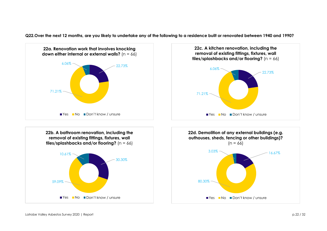**Q22.Over the next 12 months, are you likely to undertake any of the following to a residence built or renovated between 1940 and 1990?**

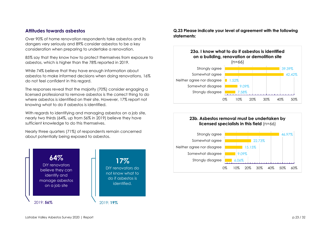## <span id="page-22-0"></span>**Attitudes towards asbestos**

Over 90% of home renovation respondents take asbestos and its dangers very seriously and 89% consider asbestos to be a key consideration when preparing to undertake a renovation.

85% say that they know how to protect themselves from exposure to asbestos, which is higher than the 78% reported in 2019.

While 74% believe that they have enough information about asbestos to make informed decisions when doing renovations, 16% do not feel confident in this regard.

The responses reveal that the majority (70%) consider engaging a licensed professional to remove asbestos is the correct thing to do where asbestos is identified on their site. However, 17% report not knowing what to do if asbestos is identified.

With regards to identifying and managing asbestos on a job site, nearly two thirds (64%, up from 56% in 2019) believe they have sufficient knowledge to do this themselves.

Nearly three quarters (71%) of respondents remain concerned about potentially being exposed to asbestos.



**Q.23 Please indicate your level of agreement with the following statements:**



#### **23b. Asbestos removal must be undertaken by licensed specialists in this field** (n=66)

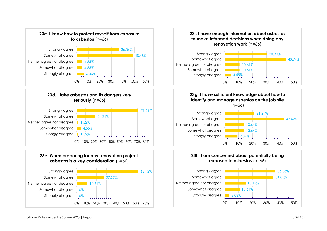











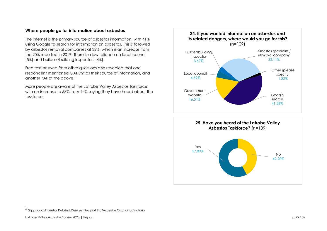#### **Where people go for information about asbestos**

The internet is the primary source of asbestos information, with 41% using Google to search for information on asbestos. This is followed by asbestos removal companies at 32%, which is an increase from the 20% reported in 2019. There is a low reliance on local council (5%) and builders/building inspectors (4%).

Free text answers from other questions also revealed that one respondent mentioned GARDS<sup>6</sup> as their source of information, and another "All of the above."

More people are aware of the Latrobe Valley Asbestos Taskforce, with an increase to 58% from 44% saying they have heard about the taskforce.





<sup>6</sup> Gippsland Asbestos Related Diseases Support Inc/Asbestos Council of Victoria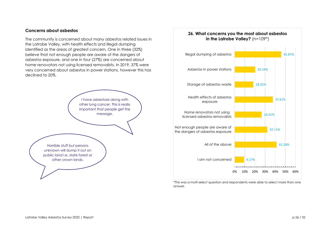#### **Concerns about asbestos**

The community is concerned about many asbestos related issues in the Latrobe Valley, with health effects and illegal dumping identified as the areas of greatest concern. One in three (32%) believe that not enough people are aware of the dangers of asbestos exposure, and one in four (27%) are concerned about home renovators not using licensed removalists. In 2019, 37% were very concerned about asbestos in power stations, however this has declined to 20%.



# 9.17% 41.28% 32.11% 26.61% 37.61% 18.35% 20.18% 45.87% 0% 10% 20% 30% 40% 50% 60% I am not concerned All of the above Not enough people are aware of the dangers of asbestos exposure Home renovators not using licensed asbestos removalists Health effects of asbestos exposure Storage of asbestos waste Asbestos in power stations Illegal dumping of asbestos **26. What concerns you the most about asbestos in the Latrobe Valley?** (n=109\*)

\*This was a multi-select question and respondents were able to select more than one answer.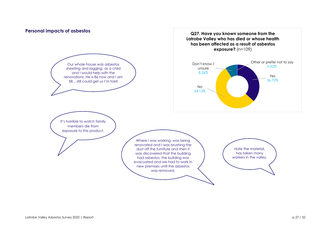<span id="page-26-0"></span>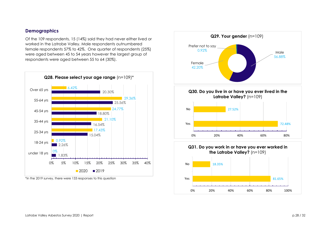## <span id="page-27-0"></span>**Demographics**

Of the 109 respondents, 15 (14%) said they had never either lived or worked in the Latrobe Valley. Male respondents outnumbered female respondents 57% to 42%. One quarter of respondents (25%) were aged between 45 to 54 years however the largest group of respondents were aged between 55 to 64 (30%).



\*in the 2019 survey, there were 133 responses to this question

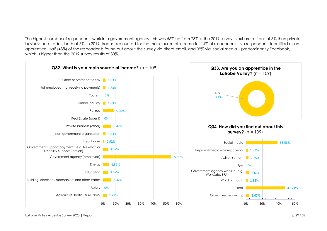The highest number of respondents work in a government agency; this was 56% up from 23% in the 2019 survey. Next are retirees at 8% then private business and trades, both at 6%. In 2019, trades accounted for the main source of income for 14% of respondents. No respondents identified as an apprentice. Half (48%) of the respondents found out about the survey via direct email, and 39% via social media – predominantly Facebook, which is higher than the 2019 survey results of 30%.

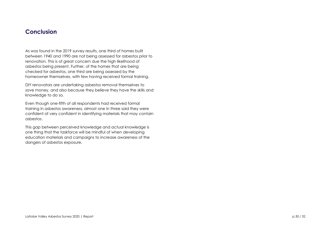## <span id="page-29-0"></span>**Conclusion**

As was found in the 2019 survey results, one third of homes built between 1940 and 1990 are not being assessed for asbestos prior to renovation. This is of great concern due the high likelihood of asbestos being present. Further, of the homes that are being checked for asbestos, one third are being assessed by the homeowner themselves, with few having received formal training.

DIY renovators are undertaking asbestos removal themselves to save money, and also because they believe they have the skills and knowledge to do so.

Even though one-fifth of all respondents had received formal training in asbestos awareness, almost one in three said they were confident of very confident in identifying materials that may contain asbestos.

This gap between perceived knowledge and actual knowledge is one thing that the taskforce will be mindful of when developing education materials and campaigns to increase awareness of the dangers of asbestos exposure.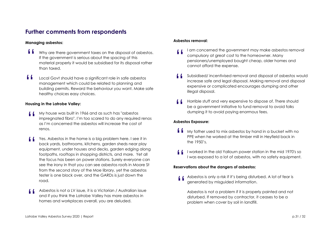# <span id="page-30-0"></span>**Further comments from respondents**

#### **Managing asbestos:**

- Why are there government taxes on the disposal of asbestos. If the government is serious about the spacing of this material properly it would be subsidised for its disposal rather than taxed. "
- Local Govt should have a significant role in safe asbestos management which could be related to planning and building permits. Reward the behaviour you want. Make safe healthy choices easy choices. "

#### **Housing in the Latrobe Valley:**

- My house was built in 1966 and as such has "asbestos impregnated fibro". I'm too scared to do any required renos as I'm concerned the asbestos will increase the cost of renos. "
- Yes. Asbestos in the home is a big problem here. I see it in back yards, bathrooms, kitchens, garden sheds near play equipment, under houses and decks, garden edging along footpaths, rooftops in shopping districts, and more. Yet all the focus has been on power stations. Surely everyone can see the irony in that you can see asbestos roofs in Moore St from the second story of the Moe library, yet the asbestos tester is one block over, and the GARDs is just down the road. "
- Asbestos is not a LV issue, it is a Victorian / Australian issue and if you think the Latrobe Valley has more asbestos in homes and workplaces overall, you are deluded. "

#### **Asbestos removal:**

- I am concerned the government may make asbestos removal compulsory at great cost to the homeowner. Many pensioners/unemployed bought cheap, older homes and cannot afford the expense. "
- Subsidised/ incentivised removal and disposal of asbestos would increase safe and legal disposal. Making removal and disposal expensive or complicated encourages dumping and other illegal disposal.  $\blacksquare$
- Horrible stuff and very expensive to dispose of. There should be a government initiative to fund removal to avoid folks dumping it to avoid paying enormous fees. "

#### **Asbestos Exposure:**

- My father used to mix asbestos by hand in a bucket with no PPE when he worked at the timber mill in Heyfield back in the 1950's. "
- I worked in the old Yallourn power station in the mid 1970's so I was exposed to a lot of asbestos, with no safety equipment. "

#### **Reservations about the dangers of asbestos:**

Asbestos is only a risk if it's being disturbed. A lot of fear is generated by misguided information. "

Asbestos is not a problem if it is properly painted and not disturbed. If removed by contractor, it ceases to be a problem when cover by soil in landfill.